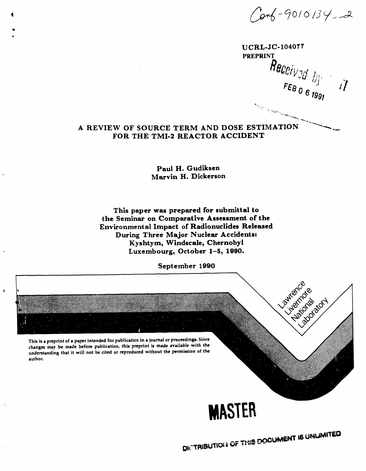Conf-9010134,2

**UCRL-JC-104077 PREPRINT** Received by  $\sqrt{ }$ **Settleman** 

**Lawrence** 

CAMBRIDGE

curicatory

# A REVIEW OF SOURCE TERM AND DOSE ESTIMATION FOR THE TMI-2 REACTOR ACCIDENT

Paul H. Gudiksen Marvin H. Dickerson

This paper was prepared for submittal to the Seminar on Comparative Assessment of the Environmental Impact of Radionuclides Released During Three Major Nuclear Accidents: Kyshtym, Windscale, Chernobyl Luxembourg, October 1-5, 1990.

September 1990

This is a preprint of a paper intended for publication in a journal or proceedings. Since changes may be made before publication, this preprint is made available with the understanding that it will not be cited or reproduced without the permission of the author.

# **MASTER**

DICTRIBUTION & OF THIS DOCUMENT IS UNLIMITED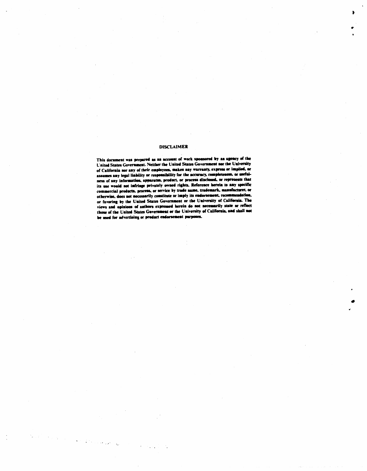#### **DISCLAIMER**

This document was prepared as an account of work sponsored by an agency of the United States Government. Neither the United States Government. of California nor any of their employees, makes any warranty, express or implied, or or Camorana any any or more employees, insied my mateurity explores the mediates any legal liability or responsibility for the accuracy, completeness, or useful-<br>ness of any information, apparatus, product, or process disc its use would not infringe privately owned rights. Reference herein to any specific commercial products, process, or service by trade name, trademark, manufacturer, or otherwise, does not necessarily constitute or imply its endorsement, recommendation, or favoring by the United States Government or the University of California. The views and opinions of authors expressed herein do not necessarily state or reflect those of the United States Government or the University of California, and shall not be used for advertising or product endorsement purposes.

Province and Se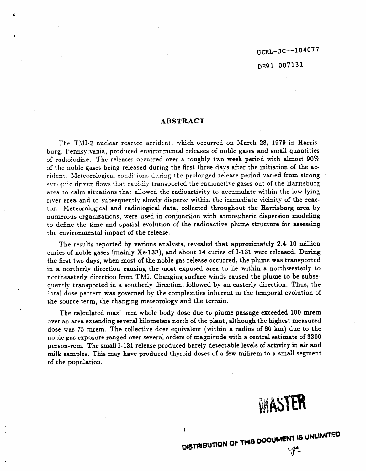DE**9**1 00**7**1**3**1

#### A**B**S**T**R**ACT**

**\$**

**%**

**T**he TMI-**2** n**uc**lear r**eac**t**o**r a**cc**idc\_nt**,** whi**c**h o**ccu**rred on Ma**r**ch 2**8**, 1**9**7**9** i**n H**a**r**risburg, Pen**n**sylva**n**ia, **p**roduced e**n**vironmental releases of **n**oble gases a**n**d sm**a**ll qua**n**tities of radioiodin**e**. The releases occurred over a roughly two week peri**o**d with almo**s**t 90°\_ of the noble gases be**i**ng released during the first three da*y*s aft**e**r the i**n**itiatio**n** of the ac**c**ident. \_Ieteorological *c*onditions during the prolonged release period varied from strong \_**r**n\_,t)tic driven fl**o**ws that rapid.lr transported the radioactive g**a**s**e**s out of the Harrisburg area to calm situations that allowed the radioactivity to accumulate within the low lying river area and to subsequently slowly dispe**r**se within the immediate vici**n**ity of the reactor. Meteorological and radiological data, collected \**,*hrougho**u**t the **H**arrisburg area by numerous organizations, were used i**n** co**n**ju**n**ctio**n** with atmospheric dispersion modeli**n**g to define the time and spatial evolutio**n** of the radioactive plume structure for assessi**n**g the environmental impact of the release.

The results reported by various analysts, revealed that approxim**a**tely 2.4-10 millio**n** curies of **n**oble gases (m**a**i**n**ly Xe-133), and about 14 curies of 1-13I we**r**e released. Duri**n**g the first two days, whe**n** most of the noble gas release occurred, the plume was transpo**r**ted in a northerly direction causing the most exposed area to lie within a northwesterly to northeasterly direction from TMI. Changing surface winds caused the plu**m**e to be subsequently tra**n**sported in a southerly direction, followed by a**n** easterly direction. Thus, the :.)tal dose patter**n** was gover**n**ed by the complexities inherent i**n** the temporal evolutio**n** of the source term, the changing meteorology a**n**d the te**r**rain.

The calculated max mum whole body dose due to plume passage exceeded  $100$  mrem over an area exte**n**di**n**g sever**a**l kilometers **n**orth of the plant, although the highest measured dose was 75 mrem. The collective dose equivalent (within a radius of 80 km) due to the noble gas exposure ra**n**ged over several orders of magnitude with a central estimate of 3300 person-rem. The small 1-131 release produced barely detectable levels of ac**t**ivity i**n** ai**r** a**n**d milk samples. This may have produced thyroid doses of a few milirem to a small segment of the population.



I \_**T**R**IBUTI**O**N** O**F THIS o**o**CUMENT**:**8**. **UNI..IWtlT**\_**O**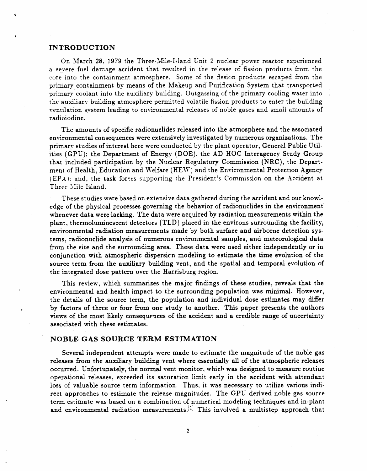#### **INTRODUCTION**

On March 28, 1979 the Three-Mile-Island Unit 2 nuclear power reactor experienced a severe fuel damage accident that resulted in the release of fission products from the core into the containment atmosphere. Some of the fission products escaped from the primary containment by means of the Makeup and Purification System that transported primary coolant into the auxiliary building. Outgassing of the primary cooling water into the auxiliary building atmosphere permitted volatile fission products to enter the building ventilation system leading to environmental releases of noble gases and small amounts of radioiodine.

The amounts of specific radionuclides released into the atmosphere and the associated environmental consequences were extensively investigated by numerous organizations. The primary studies of interest here were conducted by the plant operator, General Public Utilities (GPU); the Department of Energy (DOE), the AD HOC Interagency Study Group that included participation by the Nuclear Regulatory Commission (NRC), the Department of Health, Education and Welfare (HEW) and the Environmental Protection Agency (EPA): and, the task forces supporting the President's Commission on the Accident at Three Mile Island.

These studies were based on extensive data gathered during the accident and our knowledge of the physical processes governing the behavior of radionuclides in the environment whenever data were lacking. The data were acquired by radiation measurements within the plant, thermoluminescent detectors (TLD) placed in the environs surrounding the facility, environmental radiation measurements made by both surface and airborne detection systems, radionuclide analysis of numerous environmental samples, and meteorological data from the site and the surrounding area. These data were used either independently or in conjunction with atmospheric dispersion modeling to estimate the time evolution of the source term from the auxiliary building vent, and the spatial and temporal evolution of the integrated dose pattern over the Harrisburg region.

This review, which summarizes the major findings of these studies, reveals that the environmental and health impact to the surrounding population was minimal. However, the details of the source term, the population and individual dose estimates may differ by factors of three or four from one study to another. This paper presents the authors views of the most likely consequences of the accident and a credible range of uncertainty associated with these estimates.

#### NOBLE GAS SOURCE TERM ESTIMATION

Several independent attempts were made to estimate the magnitude of the noble gas releases from the auxiliary building vent where essentially all of the atmospheric releases occurred. Unfortunately, the normal vent monitor, which was designed to measure routine operational releases, exceeded its saturation limit early in the accident with attendant loss of valuable source term information. Thus, it was necessary to utilize various indirect approaches to estimate the release magnitudes. The GPU derived noble gas source term estimate was based on a combination of numerical modeling techniques and in-plant and environmental radiation measurements.<sup>[1]</sup> This involved a multistep approach that

 $\overline{2}$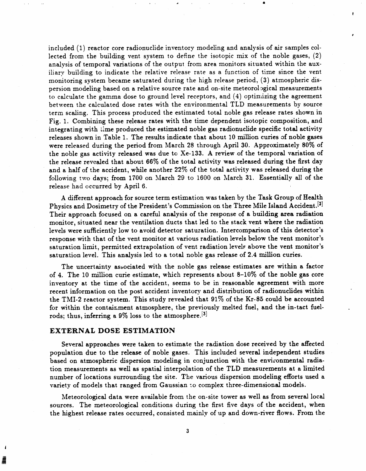included (1) reactor core radionuclide inventory modeling and analysis of air samples collected from the building vent system to define the isotopic mix of the noble gases, (2) analysis of temporal variations of the output from area monitors situated within the auxiliary building to indicate the relative release rate as a function of time since the vent monitoring system became saturated during the high release period, (3) atmospheric dispersion modeling based on a relative source rate and on-site meteorol*,*ggical measurements to calculate the gamma dose to ground level receptors, and (4) opti*n*\_zing the agreement between the calculated dose r**a**tes with the environmental TLD measurements by source term scaling. This process produced the estimated total noble gas release rates shown in Fig. 1. Combining these release rates with the time dependent isotopic composition, and in**t**e**grat**in**g w**ith Li**m**e **pr**o**du**ced **th**e es**t**i**mat**e**d** n**o**ble **ga**s **r**adio**nuclid**e **spec**i**fic** total activity rele**a**ses sh**o**wn in **Tab**le **1**. **T**he results in**d**ic**at**e **t**h**a**t **a**b**ou**t **1**0 millio**n cu**ries **of nob**le **ga**ses were release**d d**urin**g** the **p**eri**od fro**m March **2**8 thro**ug**h A**p**ril **3**0. Ap**pro**xim**at**el**y** 80% **of** the noble gas activity released was due to Xe-133. A review of the temporal variation of the release revealed that about 66% of the total activity was released during the first day **a**nd **a** half o**f** t**h**e ac**c**ident**,** while a**n**o**th**e**r 22**% o**f th**e to**t**al act**ivi**ty was **r**elease**d** during the followi**ng** t**w**o **d**a**y**s**; from** 1**7**00 on Ma**r**ch **29** to 1**6**00 **o**n Ma**r**ch 31. **E**ssentiall**y a**li **of** the **re**lease had occurred by April 6.

!

*A* different appr**o**ach for source term estimation was taken by the Task Group of Health Physics and Dosimetry of the President's Commission on the Three Mile Isla**n**d Accide**n**t. [2] Their approach focused on a careful analysis of the response of a buildi**n**g area radiation monitor, situated near the ventilation ducts that led to the stack vent where the radiation levels were sufficiently low to avoid detector saturation. Intercomparison of this detector's response with that of the vent monitor at various radiation levels below the vent monitor's saturation limit, permitted extrapolation of vent radiation levelr above the vent monitor's saturation level. This analysis led to a total noble gas release of 2.4 million curies.

The uncertainty associated with the noble gas release estimates are within a factor of 4. The 10 million curie estimate, w*h*ich represents about 8-10% of the noble gas core inventory at the time of the accident, seems to be in reasonable agreement with more recent information on the post accident inventory and distribution of radionuclides within the TMI-2 reactor system. This study revealed that 91% of the *K*r-85 could be accounted for within the containment atmosphere, the previously melted fuel, and the in-tact fuelrods; thus, inferring a 9% loss to the atmosphere.<sup>[3]</sup>

#### EXTE**R**N**A***L* DOSE ESTIM**A**TION

Several approaches were taken to estimate the radiation dose received by the affected population due to the release of noble gases. This included several independent studies based on atmospheric dispersion modeling in conjunction with the environmental radiation measurements as well as spatial interpolation of the TLD measurements at a limited number of locations surrounding the site. The various dispersion modeling efforts used a variety of models that ranged from Gaussian to complex three-dimensional models.

Meteorological data were available from the on-site tower as well as from several local sources. The meteorological conditions during the first five days of the accident, when the highest release rates occurred, consisted mainl*y* of up and down-fiver flows. From the

 $\bf 3$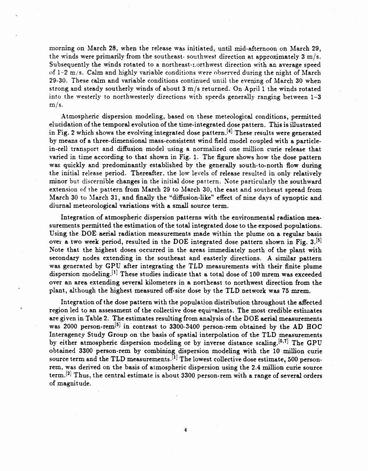morning on March *2*8, when the release was ini**t**iated, until mid-af**t**ernoon on **M**arch 29, the winds were primarily from the southeast- southwest direction at approximately 3 m*/*s. Subsequently the winds rotated to a northeast-i.orthwest direction with an **a***v*erage speed of 1-2 m*/*s. Calm and highly variabl*e* conditions were observed during the night of March 29-30. These calm **a**nd variable conditions continued until the evening of M**a**rch 30 when strong and steady southerly winds of about 3 m*/*s returned. On April 1 the winds rotated into the westerly to *n*orthwesterly directions with speeds generally r**a**nging between 1-3 m*/*s**.**

Atmospheric dispersion modeling, based on these meteological conditions, permi**tt**ed elucidation of **t**he **t**emporal evolution of the time-integrated dose pattern. This is illus**t**r**at**ed in Fig. 2 which shows the evolving integrated dose pattern.<sup>[4]</sup> These results were generated by means of **a** three-dimensional mass-consis**t**ent wind field model coupled wi**t**h a p**a**r**t**iclein-cell transport **a**nd diffusion model using a normalized one mi**l**lion curie release that varied in time according **t**o tha*t* shown in Fig. 1. The figure shows how the dose pa**tt**ern was quickly and predominantly established by the generally south-**t**o-nor**t**h flow during the initial release period. Thereaf**t**er, the low le*v*els of release resulted in only relatively minor but discernible changes in the initi**a**l dose pattern. Note particularl*y* **t**he southward extension of the pattern from March 29 to March 30, the east **a**nd southeas**t** spread from Mar eh 30 to March 31, and fin**a**lly the "diffusion-like" effec**t** of nine days of synop**t**ic and diurn**a**l me**t**eorological varia**t**ions with **a** small source **t**erm.

Integration o**f at**mospheric dispersion pa**tt**erns wi**t**h **t**he environmen**ta**l r**a**di**at**ion measurements permi**tt**ed **t**he estimation of **t**he to**t**al in**t**egr**at**ed dose **t**o **t**he exposed popula**t**ions. Using the DOE aerial r**a**dia**t**ion measurements made within the plume on **a** regular b**a**sis ove**r** a **t**wo week period, resulted in the DOE in**t**egr**a**ted dose pa**t**tern shown in Fig. **3**.[si Note **t**ha**t** the highes**t** doses occurred in **t**he areas immediately nor**t**h of **t**he pla**nt** wi**t**h secondary nodes extending in the southeast and easterly directions. A simil**a**r pa**tt**ern was generated by GPU af**t**er integrating the T*L*D measurements with their fini**t**e plume dispersion modeling.<sup>[1]</sup> These studies indicate that a total dose of 100 mrem was exceeded over an area extending sever**a**l kilometers in a northeast to nor**t**hwest dire**ct**io**n** from **t**he pl**a**nt, although the highes**t** measured off-site dose by the T*L*D network w**a**s 7**5** torero.

Integration of the dose pattern with the population distribution throughout the affected ' regi**o**n led to an **asse**s**s**ment **o**f **t**h**e** colle**c**tive dose equi**v**alents. **T**he m**o**st **c**r**e**di**b**le es**timates** are given in Table 2. The e**s**tim**a**tes resulting f**r**om analysis of the DOE **a**e**r**i**a**l measurements was 2000 **p**e**r**so**n**-**r**em[Sl in **c**o**n**tr**a**st to 3300-3400 pe**r**son-rem obtained by the A**D H**OC Interagency Study G**r**oup on the b**a**sis of spatial inter**p**olatio**n** of the TLD measurements by either atmospheric dispersion modeling or by inverse distance scaling.<sup>[6,7]</sup> The GPU obtained 3300 person-rem by combining dispersion modeling with the 10 million curie obtained 3300 pe**r**son-rem by combi**n**ing, dispe**r**sion modeling with the 10 million curie sou**r**ce term **an**d the **T**LD me**a**sureme**nt**s**,** ll] The lowes**t** collective dose estima**t**e, 500 **p**e**r**sonrem, was derived on the b**a**sis of atmospheric dispersion using the 2.4 million **c**urie sour**c**e term.<sup>[2]</sup> Thus, the central estimate is about 3300 person-rem with a range of several orders of magnitude.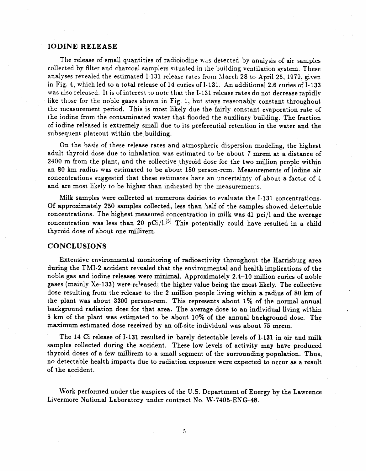#### IODINE RE*L*EASE

The release of small quantities of radioiodine w\_*-*.s detected by **a**nalysis of air samples collected by filter and charcoal samplers situated in the building ventilation system. These analyses revealed the estimated I-131 release rates from March 28 to April 25, 1979, given in Fig. 4, which led to **a** total release of 14 curies of 1-131. An **a**dditional 2.6 curies of 1-133 was also released. It is of interest to note that the I-131 release rates do not decrease rapidly like those for the noble gases shown in Fig. 1*,* but stays reasonably cons**t**ant throughout the measurement period. This is most likely due the fairly constant ev**a**poration **r**ate of the iodine from the contamin**a**ted water th**a**t flooded the auxiliary building. The fraction of iodine released is extremely small due to its preferential retention in the water and the subsequent plateout within the building.

On the basis of these release rates and **a**tmospheric dispersion modeling**,** the highest **a**dult thyroid dose due to **i**nhalation was estimated to be about *7* mrem at a distance of 2400 m from the plant, and the collective thyroid dose for the two million people within **a**n 80 km r**a**dius w**a**s estimated to be about 180 person-rem. Measurements o**f** iodine air concentrations suggested **t**hat these estimates have an uncertainty of about a factor of 4 and are most likely to be higher than indicated by the measurements.

Milk samples were collec**t**ed a**t** numerous dairies to evaluate the 1-131 concentrations. O**f** approximately 250 samples collected, less than ?aalf of the samples showed dete**c**table concent**r**ations. The highest measured concentration in milk was 41 pci*/*l and the ave**r**age concentr**a**tion was less th**a**n 20 pCi*/*l.[5] This potentially could have resulted in a child thyroid dose of about one millirem.

### *C*ONC*L*USIONS

,'

Ex**t**ensive envi**r**on**m**en**ta**l mo**n**i**t**oring of **ra**dio**a**c**t**ivi**t**y th**r**o**u**g**h**o**ut th**e **Har**ri**s**b**ur**g **ar**e**a** during the TMI-2 **a**ccide**nt r**evealed **tha**t the e**n**vi**r**onmen**ta**l **a**nd he**a**lth im**pl**i**c**ations of the noble g**a**s **a**nd iodi**n**e **r**ele**a**ses we**r**e mi**n**im**a**l. App**r**oxima**t**ely 2.4-10 **m**illio**n** curies of **n**oble g**a**ses (m**a**inly Xe-133) we**r**e **r***O*e**a**sed; the **h**ighe**r** value being the mos**t** likely. The collective dose resulting f**r**om the rele**a**se to the 2 million people living wi**t***h*in **a ra**dius of **8**0 km of the pl**a**n**t** was **a**bout 3300 **p**e**r**son-rem. **T**his **r**epresents abou**t** 1% of t**h**e n*o***r**mal **a**nnum **ba**ck**gr**ound **radiat**ion **do**se fo**r that ar**e**a**. Th**e av**e**ra**ge dose **t**o **a**n **i**ndivid**ua**l living wi**thin** 8 km of t**h**e plant w**a**s es**t**im**a**ted to be **a**bout 10% of t**h**e **an**nu**a**l b**a**ckg**r**ou**n**d dose. The m**a**xim**u**m estima**t**ed dose re**c**eived by an off-site individu**a**l was **a**bout 75 to**r**ero.

The 14 Ci release of 1-1**3**1 resulted i*v* b**ar**ely detect**a**ble levels of **1**-1**3**1 i**n a**i**r a**nd milk s**a**mples collected during the **a**ccident. These low levels of **a**ctivity may h**a**ve p**r**od**u**ced **t**hy**r**oid doses of **a** few millirem to **a** small segment of the su**rr**oundi**n**g po**p**ul**a**tio**n**. T**h**us, no detectable he**a**l**t**h im**pa**cts due **t**o **r**adia**t**ion exposu**r**e were expected **t**o occu**r a**s **a** result of the accident.

Work performed under the **a**uspices of the U.S. Department of Energy by **t**he *L*awrence Livermore National Laboratory under contract No. W-7405-ENG-48.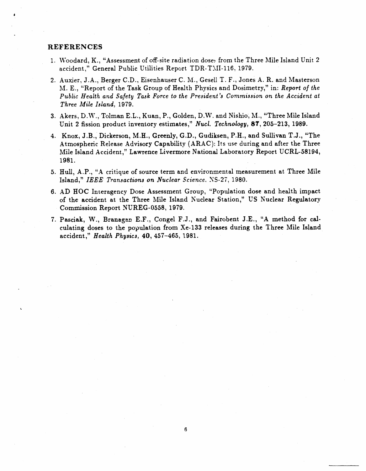#### **REFERENCES**

- 1. Woodard, K., "Assessment of off-site radiation dose, from the Three Mile Island Unit 2 accident," General Public Utilities Report TDR-TMI-116, 1979.
- 2. Auxier, J.A., Berger C.D., Eisenhauser C. M., Gesell T. F., Jones A. R. and Masterson M. E., "Report of the Task Group of Health Physics and Dosimetry," in: Report of the Public Health and Safety Task Force to the President's Commission on the Accident at Three Mile Island, 1979.
- 3. Akers, D.W., Tolman E.L., Kuan, P., Golden, D.W. and Nishio, M., "Three Mile Island Unit 2 fission product inventory estimates," Nucl. Technology, 87, 205–213, 1989.
- 4. Knox, J.B., Dickerson, M.H., Greenly, G.D., Gudiksen, P.H., and Sullivan T.J., "The Atmospheric Release Advisory Capability (ARAC): Its use during and after the Three Mile Island Accident," Lawrence Livermore National Laboratory Report UCRL-58194, 1981.
- 5. Hull, A.P., "A critique of source term and environmental measurement at Three Mile Island," IEEE Transactions on Nuclear Science. NS-27, 1980.
- 6. AD HOC Interagency Dose Assessment Group, "Population dose and health impact of the accident at the Three Mile Island Nuclear Station," US Nuclear Regulatory Commission Report NUREG-0558, 1979.
- 7. Pasciak, W., Branagan E.F., Congel F.J., and Fairobent J.E., "A method for calculating doses to the population from Xe-133 releases during the Three Mile Island accident," Health Physics, 40, 457-465, 1981.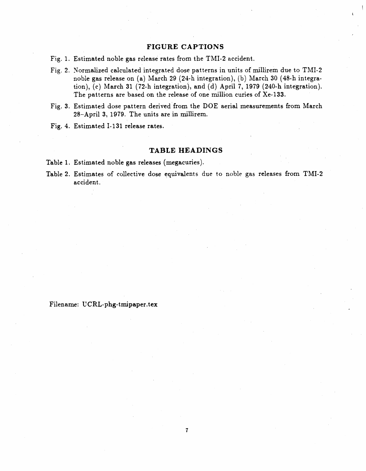## **FIGURE CAPTIONS**

- Fig. 1. Estimated noble gas release rates from the TMI-2 accident.
- Fig. 2. Normalized calculated integrated dose patterns in units of millirem due to TMI-2 noble gas release on (a) March 29 (24-h integration), (b) March 30 (48-h integration), (c) March 31 (72-h integration), and (d) April 7, 1979 (240-h integration). The patterns are based on the release of one million curies of Xe-133.
- Fig. 3. Estimated dose pattern derived from the DOE aerial measurements from March 28-April 3, 1979. The units are in millirem.
- Fig. 4. Estimated I-131 release rates.

## **TABLE HEADINGS**

- Table 1. Estimated noble gas releases (megacuries).
- Table 2. Estimates of collective dose equivalents due to noble gas releases from TMI-2 accident.

### Filename: UCRL-phg-tmipaper.tex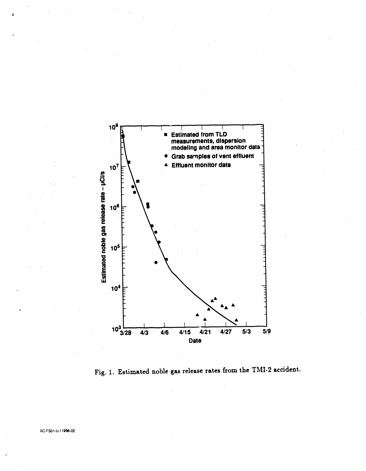

Fig. 1. Estimated noble gas release rates from the TMI-2 accident.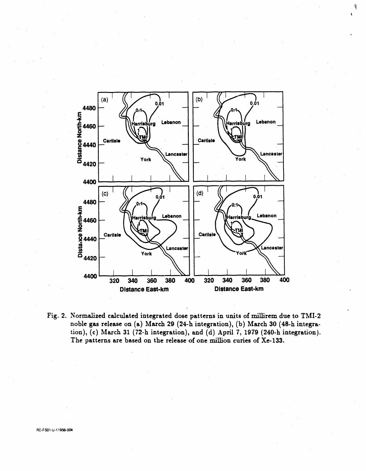

Fig. 2. Normalized calculated integrated dose patterns in units of millirem due to TMI-2 noble gas release on (a) March 29 (24-h integration), (b) March 30 (48-h integration), (c) March 31 (72-h integration), and (d) April 7, 1979 (240-h integration). The patterns are based on the release of one million curies of Xe-133.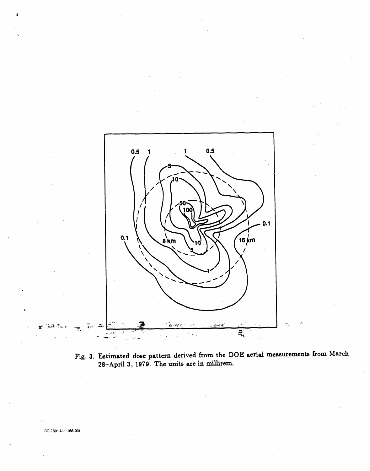

Fig. 3. Estimated dose pattern derived from the DOE aerial measurements from March 28-April 3, 1979. The units are in millirem.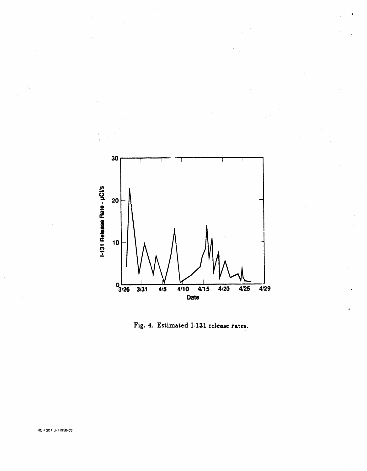

Fig. 4. Estimated I-131 release rates.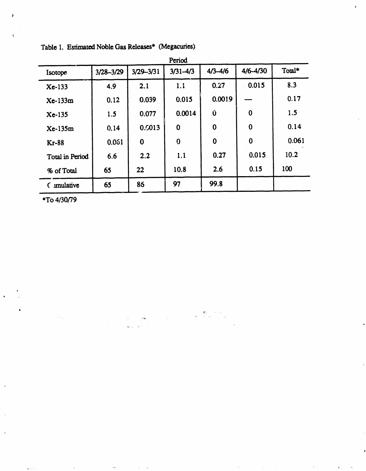| Period          |           |               |              |             |          |        |  |
|-----------------|-----------|---------------|--------------|-------------|----------|--------|--|
| Isotope         | 3/28-3/29 | $3/29 - 3/31$ | $3/31 - 4/3$ | $4/3 - 4/6$ | 4/6-4/30 | Total* |  |
| <b>Xe-133</b>   | 4.9       | 2.1           | 1.1          | 0.27        | 0.015    | 8.3    |  |
| <b>Xe-133m</b>  | 0.12      | 0.039         | 0.015        | 0.0019      |          | 0.17   |  |
| $Xe-135$        | 1.5       | 0.077         | 0.0014       | Û           | $\bf{0}$ | 1.5    |  |
| Xe-135m         | 0.14      | 0.0013        | $\bf{0}$     | $\bf{0}$    | $\bf{0}$ | 0.14   |  |
| <b>Kr-88</b>    | 0.061     | $\bf{0}$      | $\bf{0}$     | $\bf{0}$    | $\bf{0}$ | 0.061  |  |
| Total in Period | 6.6       | 2.2           | 1.1          | 0.27        | 0.015    | 10.2   |  |
| % of Total      | 65        | 22            | 10.8         | 2.6         | 0.15     | 100    |  |
| C imulative     | 65        | 86            | 97           | 99.8        |          |        |  |

 $\label{eq:2} \frac{1}{2}\left(\frac{\partial \mathbf{g}}{\partial \phi} - \frac{\partial \phi}{\partial \phi}\right)$ 

Table 1. Estimated Noble Gas Releases\* (Megacuries)

 $\mathbf{r}$ 

\*To 4/30/79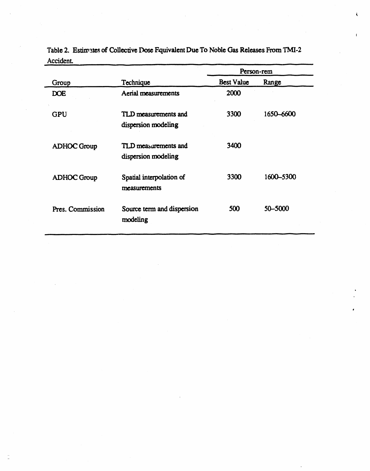|                    |                                             | Person-rem        |           |
|--------------------|---------------------------------------------|-------------------|-----------|
| Group              | Technique                                   | <b>Best Value</b> | Range     |
| <b>DOE</b>         | Aerial measurements                         | 2000              |           |
| <b>GPU</b>         | TLD measurements and<br>dispersion modeling | 3300              | 1650-6600 |
| <b>ADHOC Group</b> | TLD measurements and<br>dispersion modeling | 3400              |           |
| <b>ADHOC Group</b> | Spatial interpolation of<br>measurements    | 3300              | 1600-5300 |
| Pres. Commission   | Source term and dispersion<br>modeling      | 500               | 50-5000   |

Table 2. Estimates of Collective Dose Fquivalent Due To Noble Gas Releases From TMI-2 Accident.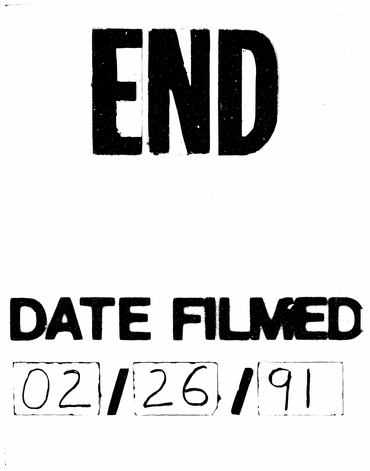

DATE FILMED  $[O2]$  $I26]$